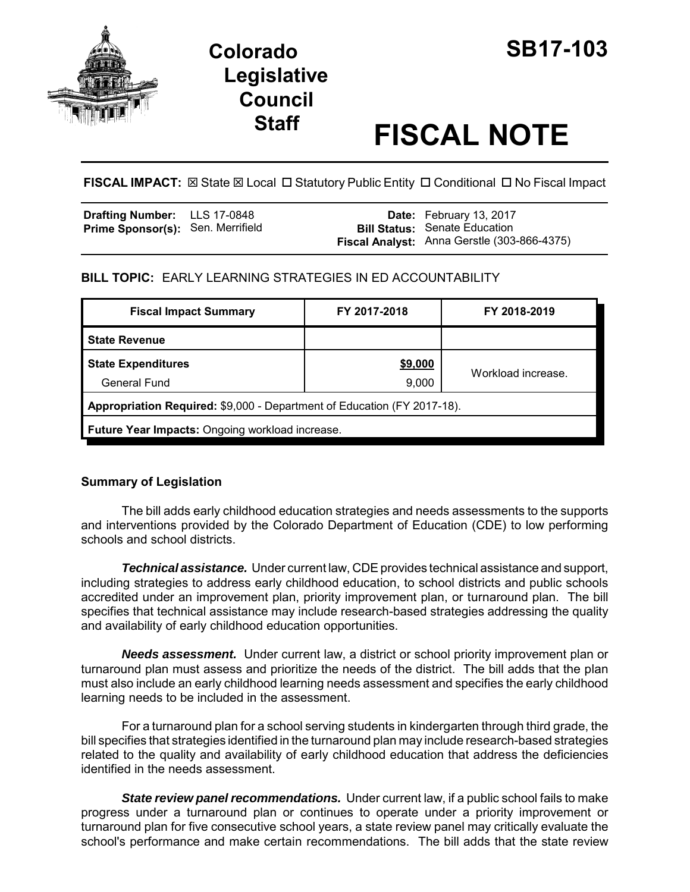

# **Colorado SB17-103 Legislative Council**

# **Staff FISCAL NOTE**

**FISCAL IMPACT:**  $\boxtimes$  **State**  $\boxtimes$  **Local □ Statutory Public Entity □ Conditional □ No Fiscal Impact** 

| Drafting Number: LLS 17-0848             |  | Date: February 13, 2017                     |
|------------------------------------------|--|---------------------------------------------|
| <b>Prime Sponsor(s): Sen. Merrifield</b> |  | <b>Bill Status: Senate Education</b>        |
|                                          |  | Fiscal Analyst: Anna Gerstle (303-866-4375) |

# **BILL TOPIC:** EARLY LEARNING STRATEGIES IN ED ACCOUNTABILITY

| FY 2017-2018                                                            | FY 2018-2019       |  |  |  |
|-------------------------------------------------------------------------|--------------------|--|--|--|
|                                                                         |                    |  |  |  |
| \$9,000                                                                 | Workload increase. |  |  |  |
| 9,000                                                                   |                    |  |  |  |
| Appropriation Required: \$9,000 - Department of Education (FY 2017-18). |                    |  |  |  |
| Future Year Impacts: Ongoing workload increase.                         |                    |  |  |  |
|                                                                         |                    |  |  |  |

# **Summary of Legislation**

The bill adds early childhood education strategies and needs assessments to the supports and interventions provided by the Colorado Department of Education (CDE) to low performing schools and school districts.

*Technical assistance.* Under current law, CDE provides technical assistance and support, including strategies to address early childhood education, to school districts and public schools accredited under an improvement plan, priority improvement plan, or turnaround plan. The bill specifies that technical assistance may include research-based strategies addressing the quality and availability of early childhood education opportunities.

*Needs assessment.* Under current law, a district or school priority improvement plan or turnaround plan must assess and prioritize the needs of the district. The bill adds that the plan must also include an early childhood learning needs assessment and specifies the early childhood learning needs to be included in the assessment.

For a turnaround plan for a school serving students in kindergarten through third grade, the bill specifies that strategies identified in the turnaround plan may include research-based strategies related to the quality and availability of early childhood education that address the deficiencies identified in the needs assessment.

*State review panel recommendations.* Under current law, if a public school fails to make progress under a turnaround plan or continues to operate under a priority improvement or turnaround plan for five consecutive school years, a state review panel may critically evaluate the school's performance and make certain recommendations. The bill adds that the state review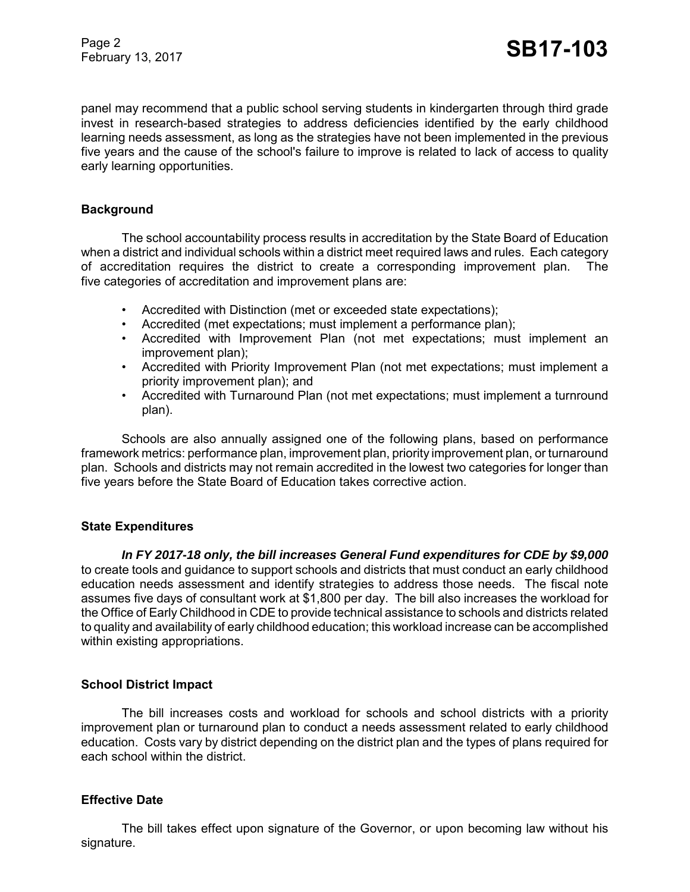Page 2 Page 2<br>February 13, 2017 **SB17-103** 

panel may recommend that a public school serving students in kindergarten through third grade invest in research-based strategies to address deficiencies identified by the early childhood learning needs assessment, as long as the strategies have not been implemented in the previous five years and the cause of the school's failure to improve is related to lack of access to quality early learning opportunities.

#### **Background**

The school accountability process results in accreditation by the State Board of Education when a district and individual schools within a district meet required laws and rules. Each category of accreditation requires the district to create a corresponding improvement plan. The five categories of accreditation and improvement plans are:

- Accredited with Distinction (met or exceeded state expectations);
- Accredited (met expectations; must implement a performance plan);
- Accredited with Improvement Plan (not met expectations; must implement an improvement plan);
- Accredited with Priority Improvement Plan (not met expectations; must implement a priority improvement plan); and
- Accredited with Turnaround Plan (not met expectations; must implement a turnround plan).

Schools are also annually assigned one of the following plans, based on performance framework metrics: performance plan, improvement plan, priority improvement plan, or turnaround plan. Schools and districts may not remain accredited in the lowest two categories for longer than five years before the State Board of Education takes corrective action.

#### **State Expenditures**

*In FY 2017-18 only, the bill increases General Fund expenditures for CDE by \$9,000* to create tools and guidance to support schools and districts that must conduct an early childhood education needs assessment and identify strategies to address those needs. The fiscal note assumes five days of consultant work at \$1,800 per day. The bill also increases the workload for the Office of Early Childhood in CDE to provide technical assistance to schools and districts related to quality and availability of early childhood education; this workload increase can be accomplished within existing appropriations.

# **School District Impact**

The bill increases costs and workload for schools and school districts with a priority improvement plan or turnaround plan to conduct a needs assessment related to early childhood education. Costs vary by district depending on the district plan and the types of plans required for each school within the district.

# **Effective Date**

The bill takes effect upon signature of the Governor, or upon becoming law without his signature.